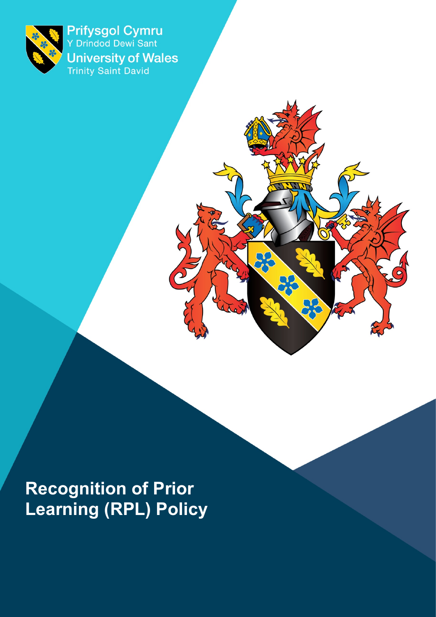

Prifysgol Cymru<br>Y Drindod Dewi Sant **University of Wales**<br>Trinity Saint David

 $O($ 

**Recognition of Prior Learning (RPL) Policy**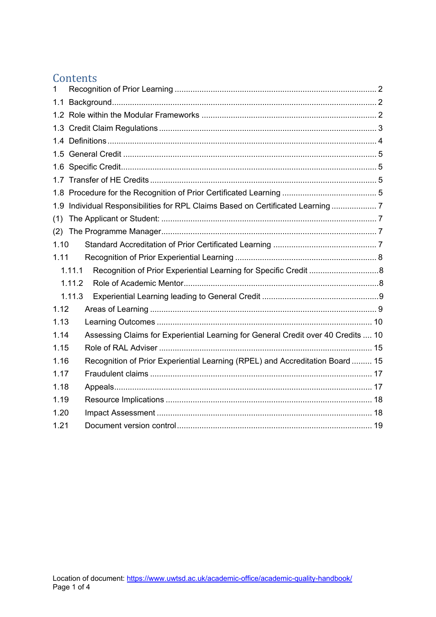# **Contents**

| 1    |        |                                                                                   |  |
|------|--------|-----------------------------------------------------------------------------------|--|
| 1.1  |        |                                                                                   |  |
|      |        |                                                                                   |  |
|      |        |                                                                                   |  |
|      |        |                                                                                   |  |
|      |        |                                                                                   |  |
|      |        |                                                                                   |  |
|      |        |                                                                                   |  |
|      |        |                                                                                   |  |
|      |        | 1.9 Individual Responsibilities for RPL Claims Based on Certificated Learning  7  |  |
| (1)  |        |                                                                                   |  |
| (2)  |        |                                                                                   |  |
| 1.10 |        |                                                                                   |  |
| 1.11 |        |                                                                                   |  |
|      | 1.11.1 | Recognition of Prior Experiential Learning for Specific Credit 8                  |  |
|      | 1.11.2 |                                                                                   |  |
|      | 1.11.3 |                                                                                   |  |
| 1.12 |        |                                                                                   |  |
| 1.13 |        |                                                                                   |  |
| 1.14 |        | Assessing Claims for Experiential Learning for General Credit over 40 Credits  10 |  |
| 1.15 |        |                                                                                   |  |
| 1.16 |        | Recognition of Prior Experiential Learning (RPEL) and Accreditation Board  15     |  |
| 1.17 |        |                                                                                   |  |
| 1.18 |        |                                                                                   |  |
| 1.19 |        |                                                                                   |  |
| 1.20 |        |                                                                                   |  |
| 1.21 |        |                                                                                   |  |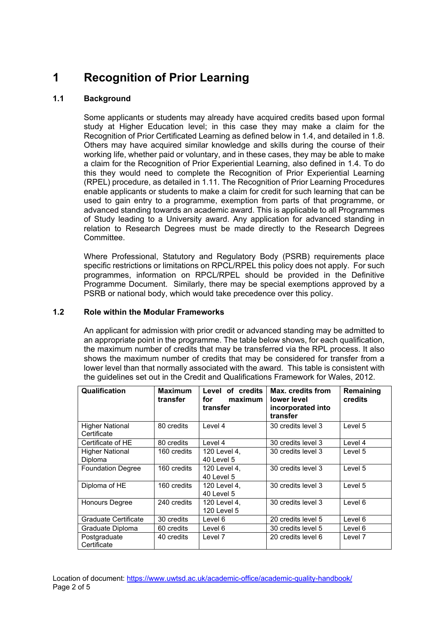# <span id="page-3-0"></span>**1 Recognition of Prior Learning**

## <span id="page-3-1"></span>**1.1 Background**

Some applicants or students may already have acquired credits based upon formal study at Higher Education level; in this case they may make a claim for the Recognition of Prior Certificated Learning as defined below in 1.4, and detailed in 1.8. Others may have acquired similar knowledge and skills during the course of their working life, whether paid or voluntary, and in these cases, they may be able to make a claim for the Recognition of Prior Experiential Learning, also defined in 1.4. To do this they would need to complete the Recognition of Prior Experiential Learning (RPEL) procedure, as detailed in 1.11. The Recognition of Prior Learning Procedures enable applicants or students to make a claim for credit for such learning that can be used to gain entry to a programme, exemption from parts of that programme, or advanced standing towards an academic award. This is applicable to all Programmes of Study leading to a University award. Any application for advanced standing in relation to Research Degrees must be made directly to the Research Degrees Committee.

Where Professional, Statutory and Regulatory Body (PSRB) requirements place specific restrictions or limitations on RPCL/RPEL this policy does not apply. For such programmes, information on RPCL/RPEL should be provided in the Definitive Programme Document. Similarly, there may be special exemptions approved by a PSRB or national body, which would take precedence over this policy.

#### <span id="page-3-2"></span>**1.2 Role within the Modular Frameworks**

An applicant for admission with prior credit or advanced standing may be admitted to an appropriate point in the programme. The table below shows, for each qualification, the maximum number of credits that may be transferred via the RPL process. It also shows the maximum number of credits that may be considered for transfer from a lower level than that normally associated with the award. This table is consistent with the guidelines set out in the Credit and Qualifications Framework for Wales, 2012.

| Qualification                         | <b>Maximum</b><br>transfer | Level of credits<br>for<br>maximum<br>transfer | Max. credits from<br>lower level<br>incorporated into<br>transfer | Remaining<br>credits |
|---------------------------------------|----------------------------|------------------------------------------------|-------------------------------------------------------------------|----------------------|
| <b>Higher National</b><br>Certificate | 80 credits                 | Level 4                                        | 30 credits level 3                                                | Level 5              |
| Certificate of HE                     | 80 credits                 | Level 4                                        | 30 credits level 3                                                | Level 4              |
| <b>Higher National</b><br>Diploma     | 160 credits                | 120 Level 4,<br>40 Level 5                     | 30 credits level 3                                                | Level 5              |
| <b>Foundation Degree</b>              | 160 credits                | 120 Level 4.<br>40 Level 5                     | 30 credits level 3                                                | Level 5              |
| Diploma of HE                         | 160 credits                | 120 Level 4.<br>40 Level 5                     | 30 credits level 3                                                | Level 5              |
| Honours Degree                        | 240 credits                | 120 Level 4,<br>120 Level 5                    | 30 credits level 3                                                | Level 6              |
| Graduate Certificate                  | 30 credits                 | Level 6                                        | 20 credits level 5                                                | Level 6              |
| Graduate Diploma                      | 60 credits                 | Level 6                                        | 30 credits level 5                                                | Level 6              |
| Postgraduate<br>Certificate           | 40 credits                 | Level 7                                        | 20 credits level 6                                                | Level 7              |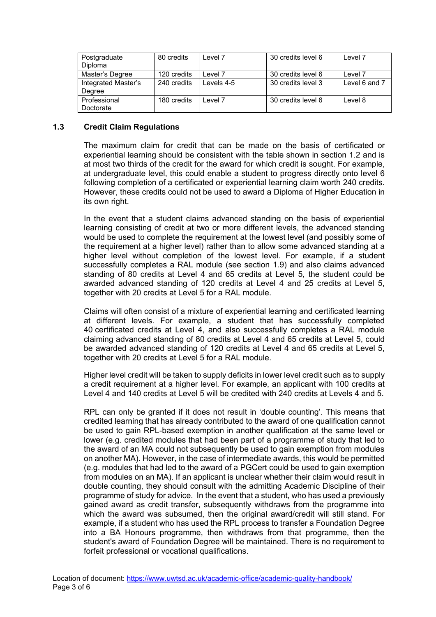| Postgraduate        | 80 credits  | Level 7    | 30 credits level 6 | Level 7       |
|---------------------|-------------|------------|--------------------|---------------|
| <b>Diploma</b>      |             |            |                    |               |
| Master's Degree     | 120 credits | evel 7_    | 30 credits level 6 | Level 7       |
| Integrated Master's | 240 credits | Levels 4-5 | 30 credits level 3 | Level 6 and 7 |
| Degree              |             |            |                    |               |
| Professional        | 180 credits | Level 7    | 30 credits level 6 | Level 8       |
| Doctorate           |             |            |                    |               |

#### <span id="page-4-0"></span>**1.3 Credit Claim Regulations**

The maximum claim for credit that can be made on the basis of certificated or experiential learning should be consistent with the table shown in section 1.2 and is at most two thirds of the credit for the award for which credit is sought. For example, at undergraduate level, this could enable a student to progress directly onto level 6 following completion of a certificated or experiential learning claim worth 240 credits. However, these credits could not be used to award a Diploma of Higher Education in its own right.

In the event that a student claims advanced standing on the basis of experiential learning consisting of credit at two or more different levels, the advanced standing would be used to complete the requirement at the lowest level (and possibly some of the requirement at a higher level) rather than to allow some advanced standing at a higher level without completion of the lowest level. For example, if a student successfully completes a RAL module (see section 1.9) and also claims advanced standing of 80 credits at Level 4 and 65 credits at Level 5, the student could be awarded advanced standing of 120 credits at Level 4 and 25 credits at Level 5, together with 20 credits at Level 5 for a RAL module.

Claims will often consist of a mixture of experiential learning and certificated learning at different levels. For example, a student that has successfully completed 40 certificated credits at Level 4, and also successfully completes a RAL module claiming advanced standing of 80 credits at Level 4 and 65 credits at Level 5, could be awarded advanced standing of 120 credits at Level 4 and 65 credits at Level 5, together with 20 credits at Level 5 for a RAL module.

Higher level credit will be taken to supply deficits in lower level credit such as to supply a credit requirement at a higher level. For example, an applicant with 100 credits at Level 4 and 140 credits at Level 5 will be credited with 240 credits at Levels 4 and 5.

RPL can only be granted if it does not result in 'double counting'. This means that credited learning that has already contributed to the award of one qualification cannot be used to gain RPL-based exemption in another qualification at the same level or lower (e.g. credited modules that had been part of a programme of study that led to the award of an MA could not subsequently be used to gain exemption from modules on another MA). However, in the case of intermediate awards, this would be permitted (e.g. modules that had led to the award of a PGCert could be used to gain exemption from modules on an MA). If an applicant is unclear whether their claim would result in double counting, they should consult with the admitting Academic Discipline of their programme of study for advice. In the event that a student, who has used a previously gained award as credit transfer, subsequently withdraws from the programme into which the award was subsumed, then the original award/credit will still stand. For example, if a student who has used the RPL process to transfer a Foundation Degree into a BA Honours programme, then withdraws from that programme, then the student's award of Foundation Degree will be maintained. There is no requirement to forfeit professional or vocational qualifications.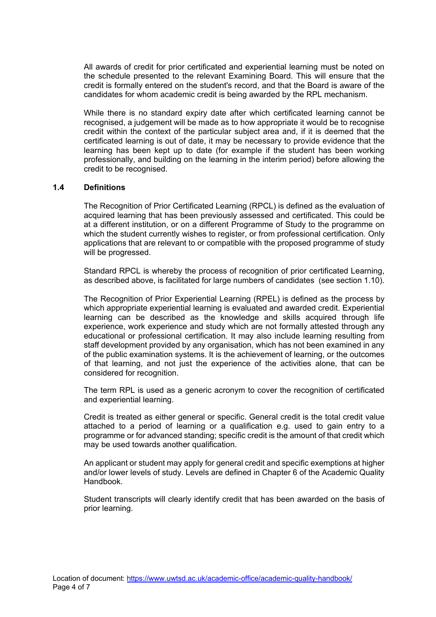All awards of credit for prior certificated and experiential learning must be noted on the schedule presented to the relevant Examining Board. This will ensure that the credit is formally entered on the student's record, and that the Board is aware of the candidates for whom academic credit is being awarded by the RPL mechanism.

While there is no standard expiry date after which certificated learning cannot be recognised, a judgement will be made as to how appropriate it would be to recognise credit within the context of the particular subject area and, if it is deemed that the certificated learning is out of date, it may be necessary to provide evidence that the learning has been kept up to date (for example if the student has been working professionally, and building on the learning in the interim period) before allowing the credit to be recognised.

#### <span id="page-5-0"></span>**1.4 Definitions**

The Recognition of Prior Certificated Learning (RPCL) is defined as the evaluation of acquired learning that has been previously assessed and certificated. This could be at a different institution, or on a different Programme of Study to the programme on which the student currently wishes to register, or from professional certification. Only applications that are relevant to or compatible with the proposed programme of study will be progressed.

Standard RPCL is whereby the process of recognition of prior certificated Learning, as described above, is facilitated for large numbers of candidates (see section 1.10).

The Recognition of Prior Experiential Learning (RPEL) is defined as the process by which appropriate experiential learning is evaluated and awarded credit. Experiential learning can be described as the knowledge and skills acquired through life experience, work experience and study which are not formally attested through any educational or professional certification. It may also include learning resulting from staff development provided by any organisation, which has not been examined in any of the public examination systems. It is the achievement of learning, or the outcomes of that learning, and not just the experience of the activities alone, that can be considered for recognition.

The term RPL is used as a generic acronym to cover the recognition of certificated and experiential learning.

Credit is treated as either general or specific. General credit is the total credit value attached to a period of learning or a qualification e.g. used to gain entry to a programme or for advanced standing; specific credit is the amount of that credit which may be used towards another qualification.

An applicant or student may apply for general credit and specific exemptions at higher and/or lower levels of study. Levels are defined in Chapter 6 of the Academic Quality Handbook.

Student transcripts will clearly identify credit that has been awarded on the basis of prior learning.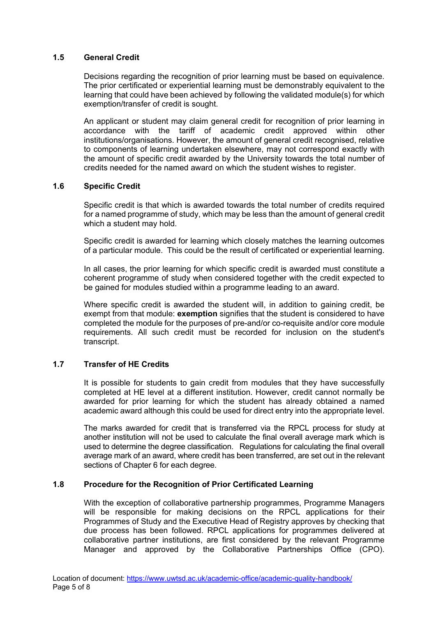#### <span id="page-6-0"></span>**1.5 General Credit**

Decisions regarding the recognition of prior learning must be based on equivalence. The prior certificated or experiential learning must be demonstrably equivalent to the learning that could have been achieved by following the validated module(s) for which exemption/transfer of credit is sought.

An applicant or student may claim general credit for recognition of prior learning in accordance with the tariff of academic credit approved within other institutions/organisations. However, the amount of general credit recognised, relative to components of learning undertaken elsewhere, may not correspond exactly with the amount of specific credit awarded by the University towards the total number of credits needed for the named award on which the student wishes to register.

#### <span id="page-6-1"></span>**1.6 Specific Credit**

Specific credit is that which is awarded towards the total number of credits required for a named programme of study, which may be less than the amount of general credit which a student may hold.

Specific credit is awarded for learning which closely matches the learning outcomes of a particular module. This could be the result of certificated or experiential learning.

In all cases, the prior learning for which specific credit is awarded must constitute a coherent programme of study when considered together with the credit expected to be gained for modules studied within a programme leading to an award.

Where specific credit is awarded the student will, in addition to gaining credit, be exempt from that module: **exemption** signifies that the student is considered to have completed the module for the purposes of pre-and/or co-requisite and/or core module requirements. All such credit must be recorded for inclusion on the student's transcript.

#### <span id="page-6-2"></span>**1.7 Transfer of HE Credits**

It is possible for students to gain credit from modules that they have successfully completed at HE level at a different institution. However, credit cannot normally be awarded for prior learning for which the student has already obtained a named academic award although this could be used for direct entry into the appropriate level.

The marks awarded for credit that is transferred via the RPCL process for study at another institution will not be used to calculate the final overall average mark which is used to determine the degree classification. Regulations for calculating the final overall average mark of an award, where credit has been transferred, are set out in the relevant sections of Chapter 6 for each degree.

#### <span id="page-6-3"></span>**1.8 Procedure for the Recognition of Prior Certificated Learning**

With the exception of collaborative partnership programmes, Programme Managers will be responsible for making decisions on the RPCL applications for their Programmes of Study and the Executive Head of Registry approves by checking that due process has been followed. RPCL applications for programmes delivered at collaborative partner institutions, are first considered by the relevant Programme Manager and approved by the Collaborative Partnerships Office (CPO).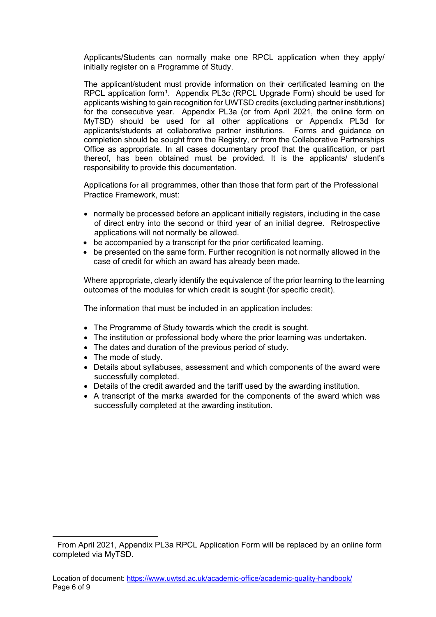Applicants/Students can normally make one RPCL application when they apply/ initially register on a Programme of Study.

The applicant/student must provide information on their certificated learning on the RPCL application form[1](#page-7-0). Appendix PL3c (RPCL Upgrade Form) should be used for applicants wishing to gain recognition for UWTSD credits (excluding partner institutions) for the consecutive year. Appendix PL3a (or from April 2021, the online form on MyTSD) should be used for all other applications or Appendix PL3d for applicants/students at collaborative partner institutions. Forms and guidance on completion should be sought from the Registry, or from the Collaborative Partnerships Office as appropriate. In all cases documentary proof that the qualification, or part thereof, has been obtained must be provided. It is the applicants/ student's responsibility to provide this documentation.

Applications for all programmes, other than those that form part of the Professional Practice Framework, must:

- normally be processed before an applicant initially registers, including in the case of direct entry into the second or third year of an initial degree. Retrospective applications will not normally be allowed.
- be accompanied by a transcript for the prior certificated learning.
- be presented on the same form. Further recognition is not normally allowed in the case of credit for which an award has already been made.

Where appropriate, clearly identify the equivalence of the prior learning to the learning outcomes of the modules for which credit is sought (for specific credit).

The information that must be included in an application includes:

- The Programme of Study towards which the credit is sought.
- The institution or professional body where the prior learning was undertaken.
- The dates and duration of the previous period of study.
- The mode of study.
- Details about syllabuses, assessment and which components of the award were successfully completed.
- Details of the credit awarded and the tariff used by the awarding institution.
- A transcript of the marks awarded for the components of the award which was successfully completed at the awarding institution.

<span id="page-7-0"></span> $1$  From April 2021, Appendix PL3a RPCL Application Form will be replaced by an online form completed via MyTSD.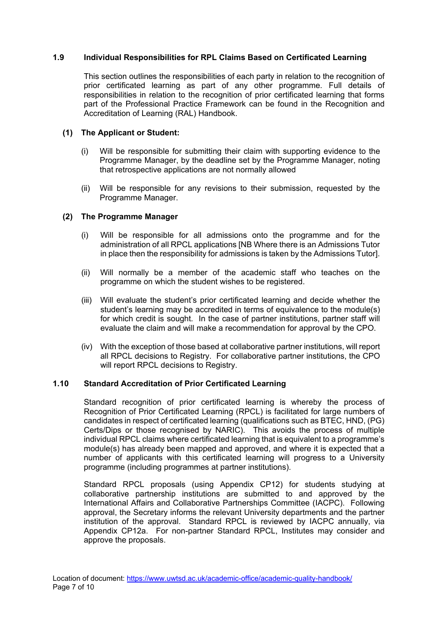#### <span id="page-8-0"></span>**1.9 Individual Responsibilities for RPL Claims Based on Certificated Learning**

This section outlines the responsibilities of each party in relation to the recognition of prior certificated learning as part of any other programme. Full details of responsibilities in relation to the recognition of prior certificated learning that forms part of the Professional Practice Framework can be found in the Recognition and Accreditation of Learning (RAL) Handbook.

#### <span id="page-8-1"></span>**(1) The Applicant or Student:**

- (i) Will be responsible for submitting their claim with supporting evidence to the Programme Manager, by the deadline set by the Programme Manager, noting that retrospective applications are not normally allowed
- (ii) Will be responsible for any revisions to their submission, requested by the Programme Manager.

#### <span id="page-8-2"></span>**(2) The Programme Manager**

- (i) Will be responsible for all admissions onto the programme and for the administration of all RPCL applications [NB Where there is an Admissions Tutor in place then the responsibility for admissions is taken by the Admissions Tutor].
- (ii) Will normally be a member of the academic staff who teaches on the programme on which the student wishes to be registered.
- (iii) Will evaluate the student's prior certificated learning and decide whether the student's learning may be accredited in terms of equivalence to the module(s) for which credit is sought. In the case of partner institutions, partner staff will evaluate the claim and will make a recommendation for approval by the CPO.
- (iv) With the exception of those based at collaborative partner institutions, will report all RPCL decisions to Registry. For collaborative partner institutions, the CPO will report RPCL decisions to Registry.

#### <span id="page-8-3"></span>**1.10 Standard Accreditation of Prior Certificated Learning**

Standard recognition of prior certificated learning is whereby the process of Recognition of Prior Certificated Learning (RPCL) is facilitated for large numbers of candidates in respect of certificated learning (qualifications such as BTEC, HND, (PG) Certs/Dips or those recognised by NARIC). This avoids the process of multiple individual RPCL claims where certificated learning that is equivalent to a programme's module(s) has already been mapped and approved, and where it is expected that a number of applicants with this certificated learning will progress to a University programme (including programmes at partner institutions).

Standard RPCL proposals (using Appendix CP12) for students studying at collaborative partnership institutions are submitted to and approved by the International Affairs and Collaborative Partnerships Committee (IACPC). Following approval, the Secretary informs the relevant University departments and the partner institution of the approval. Standard RPCL is reviewed by IACPC annually, via Appendix CP12a. For non-partner Standard RPCL, Institutes may consider and approve the proposals.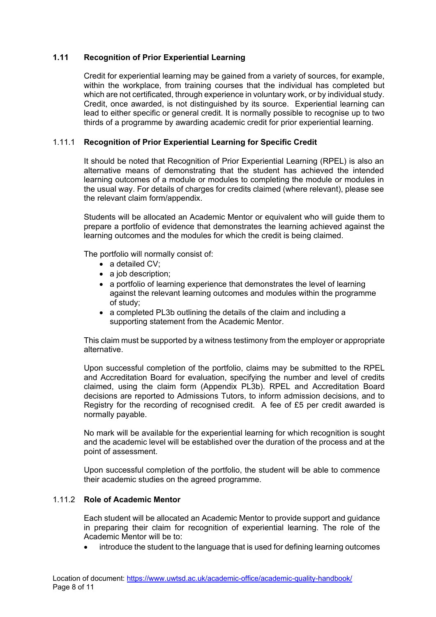#### <span id="page-9-0"></span>**1.11 Recognition of Prior Experiential Learning**

Credit for experiential learning may be gained from a variety of sources, for example, within the workplace, from training courses that the individual has completed but which are not certificated, through experience in voluntary work, or by individual study. Credit, once awarded, is not distinguished by its source. Experiential learning can lead to either specific or general credit. It is normally possible to recognise up to two thirds of a programme by awarding academic credit for prior experiential learning.

### <span id="page-9-1"></span>1.11.1 **Recognition of Prior Experiential Learning for Specific Credit**

It should be noted that Recognition of Prior Experiential Learning (RPEL) is also an alternative means of demonstrating that the student has achieved the intended learning outcomes of a module or modules to completing the module or modules in the usual way. For details of charges for credits claimed (where relevant), please see the relevant claim form/appendix.

Students will be allocated an Academic Mentor or equivalent who will guide them to prepare a portfolio of evidence that demonstrates the learning achieved against the learning outcomes and the modules for which the credit is being claimed.

The portfolio will normally consist of:

- a detailed CV;
- a job description;
- a portfolio of learning experience that demonstrates the level of learning against the relevant learning outcomes and modules within the programme of study;
- a completed PL3b outlining the details of the claim and including a supporting statement from the Academic Mentor.

This claim must be supported by a witness testimony from the employer or appropriate alternative.

Upon successful completion of the portfolio, claims may be submitted to the RPEL and Accreditation Board for evaluation, specifying the number and level of credits claimed, using the claim form (Appendix PL3b). RPEL and Accreditation Board decisions are reported to Admissions Tutors, to inform admission decisions, and to Registry for the recording of recognised credit. A fee of £5 per credit awarded is normally payable.

No mark will be available for the experiential learning for which recognition is sought and the academic level will be established over the duration of the process and at the point of assessment.

Upon successful completion of the portfolio, the student will be able to commence their academic studies on the agreed programme.

#### <span id="page-9-2"></span>1.11.2 **Role of Academic Mentor**

Each student will be allocated an Academic Mentor to provide support and guidance in preparing their claim for recognition of experiential learning. The role of the Academic Mentor will be to:

• introduce the student to the language that is used for defining learning outcomes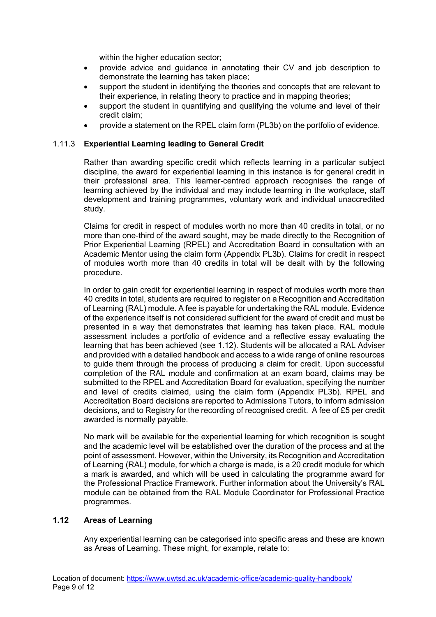within the higher education sector;

- provide advice and guidance in annotating their CV and job description to demonstrate the learning has taken place;
- support the student in identifying the theories and concepts that are relevant to their experience, in relating theory to practice and in mapping theories;
- support the student in quantifying and qualifying the volume and level of their credit claim;
- provide a statement on the RPEL claim form (PL3b) on the portfolio of evidence.

#### <span id="page-10-0"></span>1.11.3 **Experiential Learning leading to General Credit**

Rather than awarding specific credit which reflects learning in a particular subject discipline, the award for experiential learning in this instance is for general credit in their professional area. This learner-centred approach recognises the range of learning achieved by the individual and may include learning in the workplace, staff development and training programmes, voluntary work and individual unaccredited study.

Claims for credit in respect of modules worth no more than 40 credits in total, or no more than one-third of the award sought, may be made directly to the Recognition of Prior Experiential Learning (RPEL) and Accreditation Board in consultation with an Academic Mentor using the claim form (Appendix PL3b). Claims for credit in respect of modules worth more than 40 credits in total will be dealt with by the following procedure.

In order to gain credit for experiential learning in respect of modules worth more than 40 credits in total, students are required to register on a Recognition and Accreditation of Learning (RAL) module. A fee is payable for undertaking the RAL module. Evidence of the experience itself is not considered sufficient for the award of credit and must be presented in a way that demonstrates that learning has taken place. RAL module assessment includes a portfolio of evidence and a reflective essay evaluating the learning that has been achieved (see 1.12). Students will be allocated a RAL Adviser and provided with a detailed handbook and access to a wide range of online resources to guide them through the process of producing a claim for credit. Upon successful completion of the RAL module and confirmation at an exam board, claims may be submitted to the RPEL and Accreditation Board for evaluation, specifying the number and level of credits claimed, using the claim form (Appendix PL3b). RPEL and Accreditation Board decisions are reported to Admissions Tutors, to inform admission decisions, and to Registry for the recording of recognised credit. A fee of £5 per credit awarded is normally payable.

No mark will be available for the experiential learning for which recognition is sought and the academic level will be established over the duration of the process and at the point of assessment. However, within the University, its Recognition and Accreditation of Learning (RAL) module, for which a charge is made, is a 20 credit module for which a mark is awarded, and which will be used in calculating the programme award for the Professional Practice Framework. Further information about the University's RAL module can be obtained from the RAL Module Coordinator for Professional Practice programmes.

#### <span id="page-10-1"></span>**1.12 Areas of Learning**

Any experiential learning can be categorised into specific areas and these are known as Areas of Learning. These might, for example, relate to: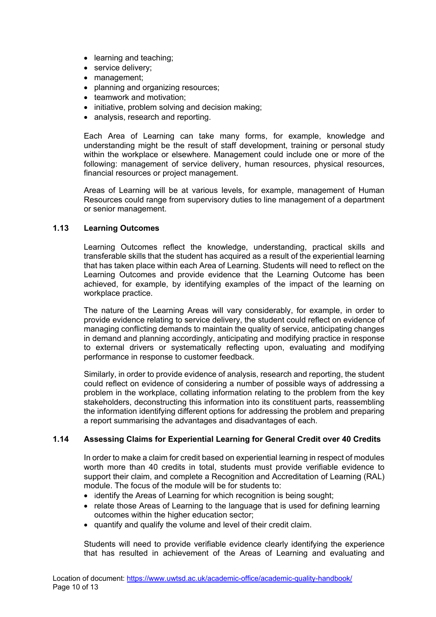- learning and teaching;
- service delivery;
- management:
- planning and organizing resources:
- teamwork and motivation;
- initiative, problem solving and decision making;
- analysis, research and reporting.

Each Area of Learning can take many forms, for example, knowledge and understanding might be the result of staff development, training or personal study within the workplace or elsewhere. Management could include one or more of the following: management of service delivery, human resources, physical resources, financial resources or project management.

Areas of Learning will be at various levels, for example, management of Human Resources could range from supervisory duties to line management of a department or senior management.

#### <span id="page-11-0"></span>**1.13 Learning Outcomes**

Learning Outcomes reflect the knowledge, understanding, practical skills and transferable skills that the student has acquired as a result of the experiential learning that has taken place within each Area of Learning. Students will need to reflect on the Learning Outcomes and provide evidence that the Learning Outcome has been achieved, for example, by identifying examples of the impact of the learning on workplace practice.

The nature of the Learning Areas will vary considerably, for example, in order to provide evidence relating to service delivery, the student could reflect on evidence of managing conflicting demands to maintain the quality of service, anticipating changes in demand and planning accordingly, anticipating and modifying practice in response to external drivers or systematically reflecting upon, evaluating and modifying performance in response to customer feedback.

Similarly, in order to provide evidence of analysis, research and reporting, the student could reflect on evidence of considering a number of possible ways of addressing a problem in the workplace, collating information relating to the problem from the key stakeholders, deconstructing this information into its constituent parts, reassembling the information identifying different options for addressing the problem and preparing a report summarising the advantages and disadvantages of each.

#### <span id="page-11-1"></span>**1.14 Assessing Claims for Experiential Learning for General Credit over 40 Credits**

In order to make a claim for credit based on experiential learning in respect of modules worth more than 40 credits in total, students must provide verifiable evidence to support their claim, and complete a Recognition and Accreditation of Learning (RAL) module. The focus of the module will be for students to:

- identify the Areas of Learning for which recognition is being sought;
- relate those Areas of Learning to the language that is used for defining learning outcomes within the higher education sector;
- quantify and qualify the volume and level of their credit claim.

Students will need to provide verifiable evidence clearly identifying the experience that has resulted in achievement of the Areas of Learning and evaluating and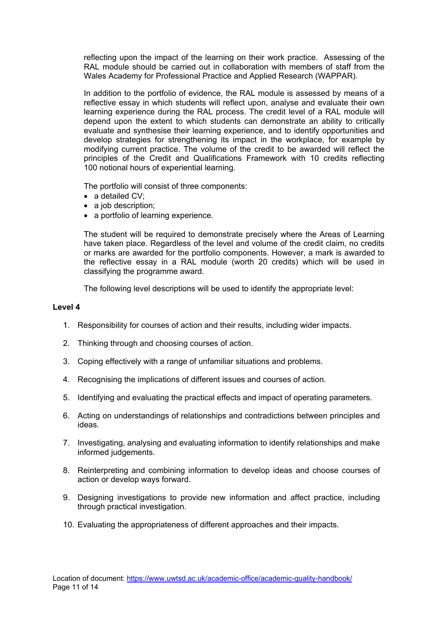reflecting upon the impact of the learning on their work practice. Assessing of the RAL module should be carried out in collaboration with members of staff from the Wales Academy for Professional Practice and Applied Research (WAPPAR).

In addition to the portfolio of evidence, the RAL module is assessed by means of a reflective essay in which students will reflect upon, analyse and evaluate their own learning experience during the RAL process. The credit level of a RAL module will depend upon the extent to which students can demonstrate an ability to critically evaluate and synthesise their learning experience, and to identify opportunities and develop strategies for strengthening its impact in the workplace, for example by modifying current practice. The volume of the credit to be awarded will reflect the principles of the Credit and Qualifications Framework with 10 credits reflecting 100 notional hours of experiential learning.

The portfolio will consist of three components:

- a detailed CV:
- a job description:
- a portfolio of learning experience.

The student will be required to demonstrate precisely where the Areas of Learning have taken place. Regardless of the level and volume of the credit claim, no credits or marks are awarded for the portfolio components. However, a mark is awarded to the reflective essay in a RAL module (worth 20 credits) which will be used in classifying the programme award.

The following level descriptions will be used to identify the appropriate level:

#### **Level 4**

- 1. Responsibility for courses of action and their results, including wider impacts.
- 2. Thinking through and choosing courses of action.
- 3. Coping effectively with a range of unfamiliar situations and problems.
- 4. Recognising the implications of different issues and courses of action.
- 5. Identifying and evaluating the practical effects and impact of operating parameters.
- 6. Acting on understandings of relationships and contradictions between principles and ideas.
- 7. Investigating, analysing and evaluating information to identify relationships and make informed judgements.
- 8. Reinterpreting and combining information to develop ideas and choose courses of action or develop ways forward.
- 9. Designing investigations to provide new information and affect practice, including through practical investigation.
- 10. Evaluating the appropriateness of different approaches and their impacts.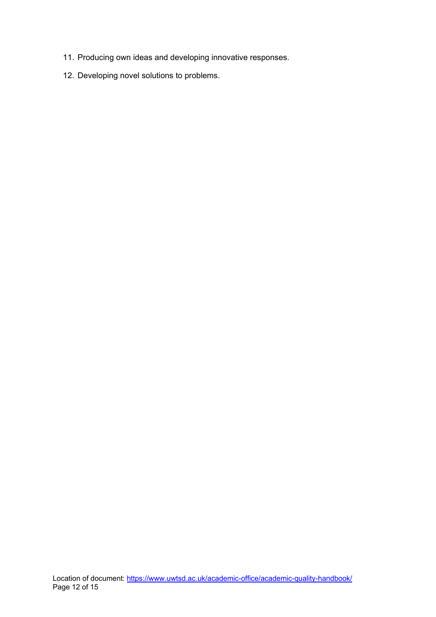- 11. Producing own ideas and developing innovative responses.
- 12. Developing novel solutions to problems.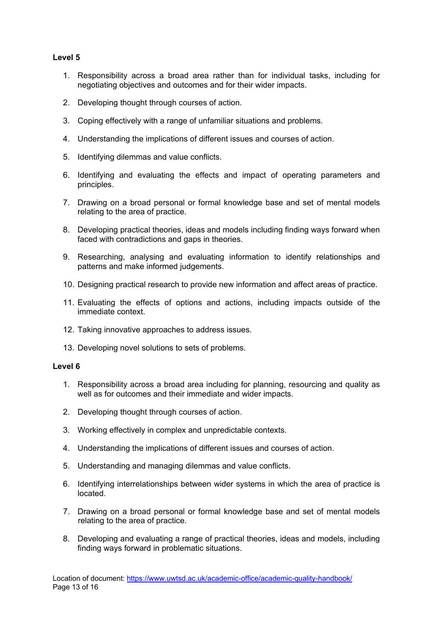#### **Level 5**

- 1. Responsibility across a broad area rather than for individual tasks, including for negotiating objectives and outcomes and for their wider impacts.
- 2. Developing thought through courses of action.
- 3. Coping effectively with a range of unfamiliar situations and problems.
- 4. Understanding the implications of different issues and courses of action.
- 5. Identifying dilemmas and value conflicts.
- 6. Identifying and evaluating the effects and impact of operating parameters and principles.
- 7. Drawing on a broad personal or formal knowledge base and set of mental models relating to the area of practice.
- 8. Developing practical theories, ideas and models including finding ways forward when faced with contradictions and gaps in theories.
- 9. Researching, analysing and evaluating information to identify relationships and patterns and make informed judgements.
- 10. Designing practical research to provide new information and affect areas of practice.
- 11. Evaluating the effects of options and actions, including impacts outside of the immediate context.
- 12. Taking innovative approaches to address issues.
- 13. Developing novel solutions to sets of problems.

#### **Level 6**

- 1. Responsibility across a broad area including for planning, resourcing and quality as well as for outcomes and their immediate and wider impacts.
- 2. Developing thought through courses of action.
- 3. Working effectively in complex and unpredictable contexts.
- 4. Understanding the implications of different issues and courses of action.
- 5. Understanding and managing dilemmas and value conflicts.
- 6. Identifying interrelationships between wider systems in which the area of practice is located.
- 7. Drawing on a broad personal or formal knowledge base and set of mental models relating to the area of practice.
- 8. Developing and evaluating a range of practical theories, ideas and models, including finding ways forward in problematic situations.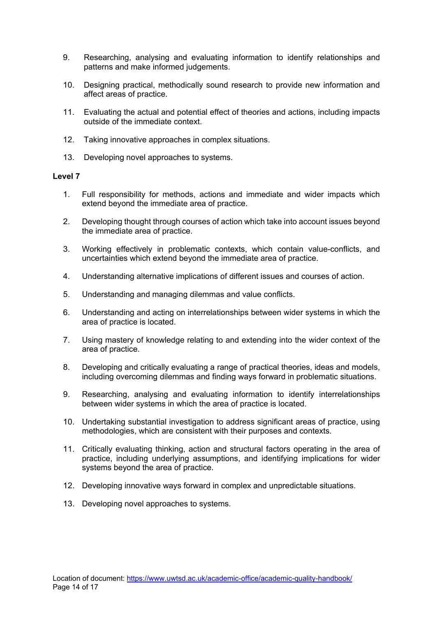- 9. Researching, analysing and evaluating information to identify relationships and patterns and make informed judgements.
- 10. Designing practical, methodically sound research to provide new information and affect areas of practice.
- 11. Evaluating the actual and potential effect of theories and actions, including impacts outside of the immediate context.
- 12. Taking innovative approaches in complex situations.
- 13. Developing novel approaches to systems.

#### **Level 7**

- 1. Full responsibility for methods, actions and immediate and wider impacts which extend beyond the immediate area of practice.
- 2. Developing thought through courses of action which take into account issues beyond the immediate area of practice.
- 3. Working effectively in problematic contexts, which contain value-conflicts, and uncertainties which extend beyond the immediate area of practice.
- 4. Understanding alternative implications of different issues and courses of action.
- 5. Understanding and managing dilemmas and value conflicts.
- 6. Understanding and acting on interrelationships between wider systems in which the area of practice is located.
- 7. Using mastery of knowledge relating to and extending into the wider context of the area of practice.
- 8. Developing and critically evaluating a range of practical theories, ideas and models, including overcoming dilemmas and finding ways forward in problematic situations.
- 9. Researching, analysing and evaluating information to identify interrelationships between wider systems in which the area of practice is located.
- 10. Undertaking substantial investigation to address significant areas of practice, using methodologies, which are consistent with their purposes and contexts.
- 11. Critically evaluating thinking, action and structural factors operating in the area of practice, including underlying assumptions, and identifying implications for wider systems beyond the area of practice.
- 12. Developing innovative ways forward in complex and unpredictable situations.
- 13. Developing novel approaches to systems.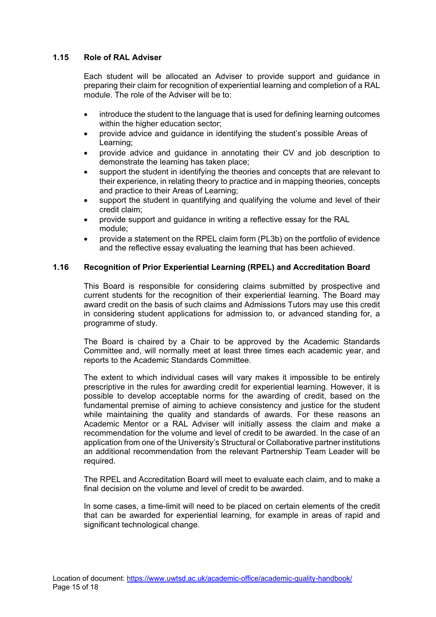#### <span id="page-16-0"></span>**1.15 Role of RAL Adviser**

Each student will be allocated an Adviser to provide support and guidance in preparing their claim for recognition of experiential learning and completion of a RAL module. The role of the Adviser will be to:

- introduce the student to the language that is used for defining learning outcomes within the higher education sector;
- provide advice and guidance in identifying the student's possible Areas of Learning;
- provide advice and guidance in annotating their CV and job description to demonstrate the learning has taken place;
- support the student in identifying the theories and concepts that are relevant to their experience, in relating theory to practice and in mapping theories, concepts and practice to their Areas of Learning;
- support the student in quantifying and qualifying the volume and level of their credit claim;
- provide support and guidance in writing a reflective essay for the RAL module;
- provide a statement on the RPEL claim form (PL3b) on the portfolio of evidence and the reflective essay evaluating the learning that has been achieved.

#### <span id="page-16-1"></span>**1.16 Recognition of Prior Experiential Learning (RPEL) and Accreditation Board**

This Board is responsible for considering claims submitted by prospective and current students for the recognition of their experiential learning. The Board may award credit on the basis of such claims and Admissions Tutors may use this credit in considering student applications for admission to, or advanced standing for, a programme of study.

The Board is chaired by a Chair to be approved by the Academic Standards Committee and, will normally meet at least three times each academic year, and reports to the Academic Standards Committee.

The extent to which individual cases will vary makes it impossible to be entirely prescriptive in the rules for awarding credit for experiential learning. However, it is possible to develop acceptable norms for the awarding of credit, based on the fundamental premise of aiming to achieve consistency and justice for the student while maintaining the quality and standards of awards. For these reasons an Academic Mentor or a RAL Adviser will initially assess the claim and make a recommendation for the volume and level of credit to be awarded. In the case of an application from one of the University's Structural or Collaborative partner institutions an additional recommendation from the relevant Partnership Team Leader will be required.

The RPEL and Accreditation Board will meet to evaluate each claim, and to make a final decision on the volume and level of credit to be awarded.

In some cases, a time-limit will need to be placed on certain elements of the credit that can be awarded for experiential learning, for example in areas of rapid and significant technological change.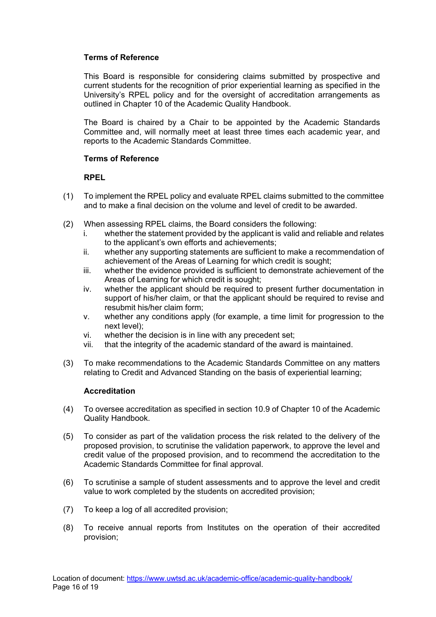#### **Terms of Reference**

This Board is responsible for considering claims submitted by prospective and current students for the recognition of prior experiential learning as specified in the University's RPEL policy and for the oversight of accreditation arrangements as outlined in Chapter 10 of the Academic Quality Handbook.

The Board is chaired by a Chair to be appointed by the Academic Standards Committee and, will normally meet at least three times each academic year, and reports to the Academic Standards Committee.

#### **Terms of Reference**

#### **RPEL**

- (1) To implement the RPEL policy and evaluate RPEL claims submitted to the committee and to make a final decision on the volume and level of credit to be awarded.
- (2) When assessing RPEL claims, the Board considers the following:
	- i. whether the statement provided by the applicant is valid and reliable and relates to the applicant's own efforts and achievements;
	- ii. whether any supporting statements are sufficient to make a recommendation of achievement of the Areas of Learning for which credit is sought;
	- iii. whether the evidence provided is sufficient to demonstrate achievement of the Areas of Learning for which credit is sought;
	- iv. whether the applicant should be required to present further documentation in support of his/her claim, or that the applicant should be required to revise and resubmit his/her claim form;
	- v. whether any conditions apply (for example, a time limit for progression to the next level);
	- vi. whether the decision is in line with any precedent set;
	- vii. that the integrity of the academic standard of the award is maintained.
- (3) To make recommendations to the Academic Standards Committee on any matters relating to Credit and Advanced Standing on the basis of experiential learning;

#### **Accreditation**

- (4) To oversee accreditation as specified in section 10.9 of Chapter 10 of the Academic Quality Handbook.
- (5) To consider as part of the validation process the risk related to the delivery of the proposed provision, to scrutinise the validation paperwork, to approve the level and credit value of the proposed provision, and to recommend the accreditation to the Academic Standards Committee for final approval.
- (6) To scrutinise a sample of student assessments and to approve the level and credit value to work completed by the students on accredited provision;
- (7) To keep a log of all accredited provision;
- (8) To receive annual reports from Institutes on the operation of their accredited provision;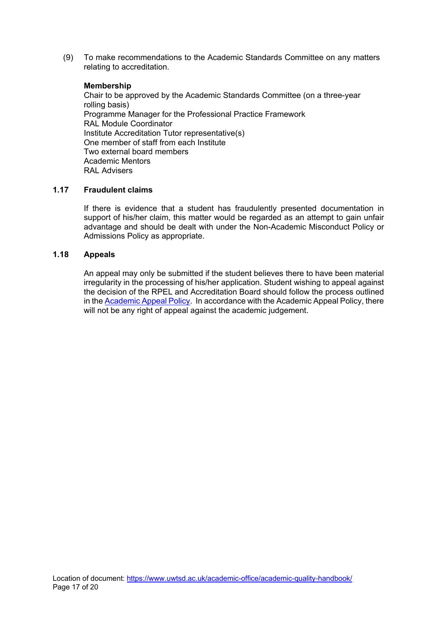(9) To make recommendations to the Academic Standards Committee on any matters relating to accreditation.

#### **Membership**

Chair to be approved by the Academic Standards Committee (on a three-year rolling basis) Programme Manager for the Professional Practice Framework RAL Module Coordinator Institute Accreditation Tutor representative(s) One member of staff from each Institute Two external board members Academic Mentors RAL Advisers

#### <span id="page-18-0"></span>**1.17 Fraudulent claims**

If there is evidence that a student has fraudulently presented documentation in support of his/her claim, this matter would be regarded as an attempt to gain unfair advantage and should be dealt with under the Non-Academic Misconduct Policy or Admissions Policy as appropriate.

#### <span id="page-18-1"></span>**1.18 Appeals**

An appeal may only be submitted if the student believes there to have been material irregularity in the processing of his/her application. Student wishing to appeal against the decision of the RPEL and Accreditation Board should follow the process outlined in the [Academic Appeal Policy.](https://www.uwtsd.ac.uk/media/uwtsd-website/content-assets/documents/academic-office/aqh-chapters/chapters---en/Academic-Appeal-Policy.pdf) In accordance with the Academic Appeal Policy, there will not be any right of appeal against the academic judgement.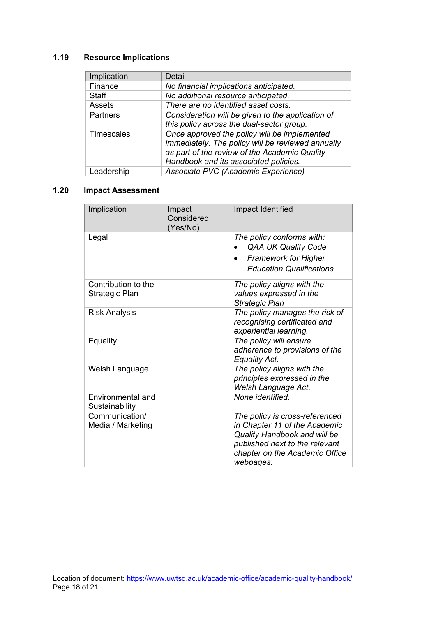# <span id="page-19-0"></span>**1.19 Resource Implications**

| Implication       | Detail                                                                                                                                                                                      |
|-------------------|---------------------------------------------------------------------------------------------------------------------------------------------------------------------------------------------|
| Finance           | No financial implications anticipated.                                                                                                                                                      |
| <b>Staff</b>      | No additional resource anticipated.                                                                                                                                                         |
| Assets            | There are no identified asset costs.                                                                                                                                                        |
| Partners          | Consideration will be given to the application of<br>this policy across the dual-sector group.                                                                                              |
| <b>Timescales</b> | Once approved the policy will be implemented<br>immediately. The policy will be reviewed annually<br>as part of the review of the Academic Quality<br>Handbook and its associated policies. |
| Leadership        | Associate PVC (Academic Experience)                                                                                                                                                         |

# <span id="page-19-1"></span>**1.20 Impact Assessment**

| Implication                           | Impact<br>Considered<br>(Yes/No) | Impact Identified                                                                                                                                                                |
|---------------------------------------|----------------------------------|----------------------------------------------------------------------------------------------------------------------------------------------------------------------------------|
| Legal                                 |                                  | The policy conforms with:<br><b>QAA UK Quality Code</b><br><b>Framework for Higher</b><br>$\bullet$<br><b>Education Qualifications</b>                                           |
| Contribution to the<br>Strategic Plan |                                  | The policy aligns with the<br>values expressed in the<br><b>Strategic Plan</b>                                                                                                   |
| <b>Risk Analysis</b>                  |                                  | The policy manages the risk of<br>recognising certificated and<br>experiential learning.                                                                                         |
| Equality                              |                                  | The policy will ensure<br>adherence to provisions of the<br>Equality Act.                                                                                                        |
| Welsh Language                        |                                  | The policy aligns with the<br>principles expressed in the<br>Welsh Language Act.                                                                                                 |
| Environmental and<br>Sustainability   |                                  | None identified.                                                                                                                                                                 |
| Communication/<br>Media / Marketing   |                                  | The policy is cross-referenced<br>in Chapter 11 of the Academic<br>Quality Handbook and will be<br>published next to the relevant<br>chapter on the Academic Office<br>webpages. |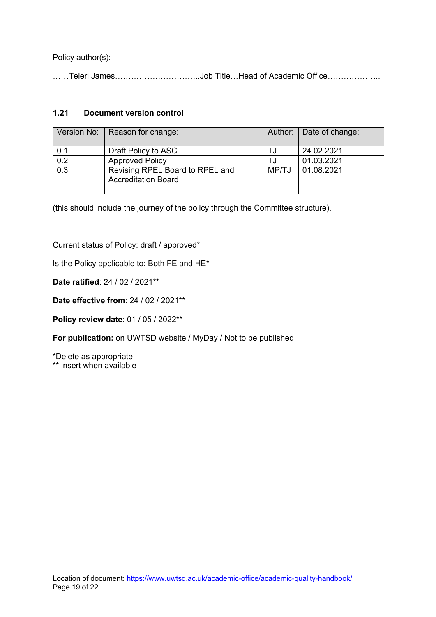Policy author(s):

……Teleri James…………………………..Job Title…Head of Academic Office………………..

## <span id="page-20-0"></span>**1.21 Document version control**

|     | Version No:   Reason for change:                              |       | Author:   Date of change: |
|-----|---------------------------------------------------------------|-------|---------------------------|
| 0.1 | Draft Policy to ASC                                           |       | 24.02.2021                |
| 0.2 | <b>Approved Policy</b>                                        |       | 01.03.2021                |
| 0.3 | Revising RPEL Board to RPEL and<br><b>Accreditation Board</b> | MP/TJ | 01.08.2021                |
|     |                                                               |       |                           |

(this should include the journey of the policy through the Committee structure).

Current status of Policy: draft / approved\*

Is the Policy applicable to: Both FE and HE\*

**Date ratified**: 24 / 02 / 2021\*\*

**Date effective from**: 24 / 02 / 2021\*\*

**Policy review date**: 01 / 05 / 2022\*\*

For publication: on UWTSD website / MyDay / Not to be published.

\*Delete as appropriate \*\* insert when available